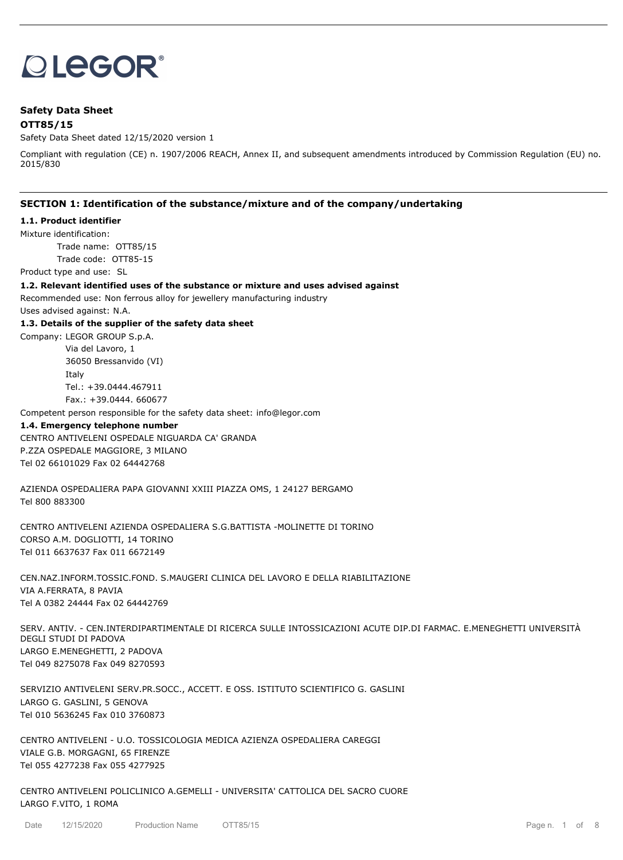# **OLEGOR®**

# **Safety Data Sheet OTT85/15**

Safety Data Sheet dated 12/15/2020 version 1

Compliant with regulation (CE) n. 1907/2006 REACH, Annex II, and subsequent amendments introduced by Commission Regulation (EU) no. 2015/830

## **SECTION 1: Identification of the substance/mixture and of the company/undertaking**

#### **1.1. Product identifier**

Mixture identification:

Trade name: OTT85/15 Trade code: OTT85-15

Product type and use: SL

**1.2. Relevant identified uses of the substance or mixture and uses advised against**

Recommended use: Non ferrous alloy for jewellery manufacturing industry

Uses advised against: N.A.

#### **1.3. Details of the supplier of the safety data sheet**

Company: LEGOR GROUP S.p.A. Via del Lavoro, 1 36050 Bressanvido (VI) Italy Tel.: +39.0444.467911

Fax.: +39.0444. 660677

Competent person responsible for the safety data sheet: info@legor.com

#### **1.4. Emergency telephone number**

CENTRO ANTIVELENI OSPEDALE NIGUARDA CA' GRANDA P.ZZA OSPEDALE MAGGIORE, 3 MILANO Tel 02 66101029 Fax 02 64442768

AZIENDA OSPEDALIERA PAPA GIOVANNI XXIII PIAZZA OMS, 1 24127 BERGAMO Tel 800 883300

CENTRO ANTIVELENI AZIENDA OSPEDALIERA S.G.BATTISTA -MOLINETTE DI TORINO CORSO A.M. DOGLIOTTI, 14 TORINO Tel 011 6637637 Fax 011 6672149

CEN.NAZ.INFORM.TOSSIC.FOND. S.MAUGERI CLINICA DEL LAVORO E DELLA RIABILITAZIONE VIA A.FERRATA, 8 PAVIA Tel A 0382 24444 Fax 02 64442769

SERV. ANTIV. - CEN.INTERDIPARTIMENTALE DI RICERCA SULLE INTOSSICAZIONI ACUTE DIP.DI FARMAC. E.MENEGHETTI UNIVERSITÀ DEGLI STUDI DI PADOVA LARGO E.MENEGHETTI, 2 PADOVA Tel 049 8275078 Fax 049 8270593

SERVIZIO ANTIVELENI SERV.PR.SOCC., ACCETT. E OSS. ISTITUTO SCIENTIFICO G. GASLINI LARGO G. GASLINI, 5 GENOVA Tel 010 5636245 Fax 010 3760873

CENTRO ANTIVELENI - U.O. TOSSICOLOGIA MEDICA AZIENZA OSPEDALIERA CAREGGI VIALE G.B. MORGAGNI, 65 FIRENZE Tel 055 4277238 Fax 055 4277925

CENTRO ANTIVELENI POLICLINICO A.GEMELLI - UNIVERSITA' CATTOLICA DEL SACRO CUORE LARGO F.VITO, 1 ROMA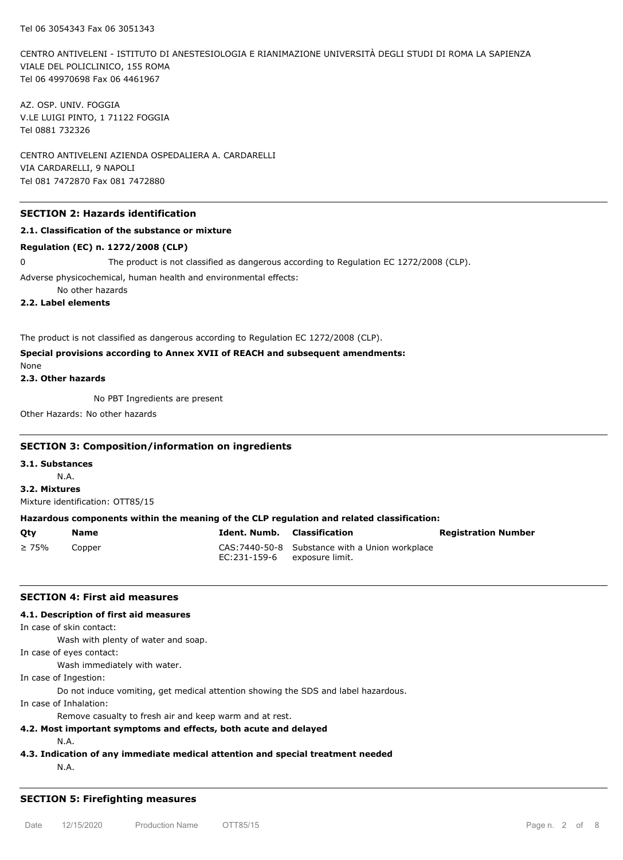CENTRO ANTIVELENI - ISTITUTO DI ANESTESIOLOGIA E RIANIMAZIONE UNIVERSITÀ DEGLI STUDI DI ROMA LA SAPIENZA VIALE DEL POLICLINICO, 155 ROMA Tel 06 49970698 Fax 06 4461967

AZ. OSP. UNIV. FOGGIA V.LE LUIGI PINTO, 1 71122 FOGGIA Tel 0881 732326

CENTRO ANTIVELENI AZIENDA OSPEDALIERA A. CARDARELLI VIA CARDARELLI, 9 NAPOLI Tel 081 7472870 Fax 081 7472880

## **SECTION 2: Hazards identification**

#### **2.1. Classification of the substance or mixture**

#### **Regulation (EC) n. 1272/2008 (CLP)**

0 The product is not classified as dangerous according to Regulation EC 1272/2008 (CLP).

Adverse physicochemical, human health and environmental effects:

No other hazards

**2.2. Label elements**

The product is not classified as dangerous according to Regulation EC 1272/2008 (CLP).

# **Special provisions according to Annex XVII of REACH and subsequent amendments:**

None

**2.3. Other hazards**

No PBT Ingredients are present

Other Hazards: No other hazards

#### **SECTION 3: Composition/information on ingredients**

**3.1. Substances**

N.A.

**3.2. Mixtures** Mixture identification: OTT85/15

#### **Hazardous components within the meaning of the CLP regulation and related classification:**

| Otv         | Name   | <b>Ident. Numb.</b> Classification |                                                 | <b>Registration Number</b> |
|-------------|--------|------------------------------------|-------------------------------------------------|----------------------------|
| $\geq 75\%$ | Copper | EC:231-159-6 exposure limit.       | CAS: 7440-50-8 Substance with a Union workplace |                            |

#### **SECTION 4: First aid measures**

#### **4.1. Description of first aid measures**

In case of skin contact:

Wash with plenty of water and soap.

In case of eyes contact:

Wash immediately with water.

In case of Ingestion:

Do not induce vomiting, get medical attention showing the SDS and label hazardous.

In case of Inhalation:

Remove casualty to fresh air and keep warm and at rest.

#### **4.2. Most important symptoms and effects, both acute and delayed**

N.A.

**4.3. Indication of any immediate medical attention and special treatment needed**

N.A.

#### **SECTION 5: Firefighting measures**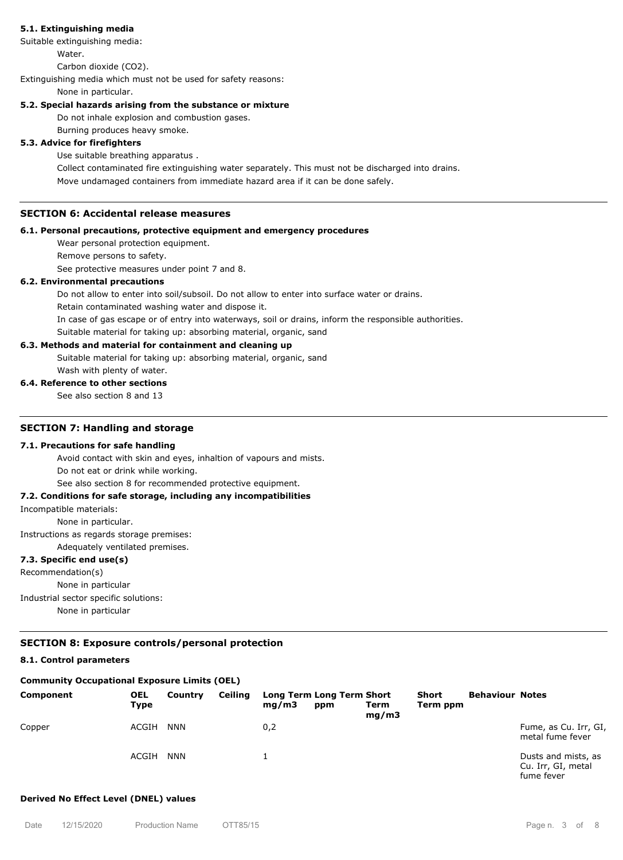## **5.1. Extinguishing media**

Suitable extinguishing media:

**Water** 

Carbon dioxide (CO2).

Extinguishing media which must not be used for safety reasons:

#### None in particular.

## **5.2. Special hazards arising from the substance or mixture**

Do not inhale explosion and combustion gases.

Burning produces heavy smoke.

# **5.3. Advice for firefighters**

Use suitable breathing apparatus .

Collect contaminated fire extinguishing water separately. This must not be discharged into drains.

Move undamaged containers from immediate hazard area if it can be done safely.

# **SECTION 6: Accidental release measures**

#### **6.1. Personal precautions, protective equipment and emergency procedures**

Wear personal protection equipment. Remove persons to safety.

See protective measures under point 7 and 8.

#### **6.2. Environmental precautions**

Do not allow to enter into soil/subsoil. Do not allow to enter into surface water or drains.

Retain contaminated washing water and dispose it.

In case of gas escape or of entry into waterways, soil or drains, inform the responsible authorities.

Suitable material for taking up: absorbing material, organic, sand

## **6.3. Methods and material for containment and cleaning up**

Suitable material for taking up: absorbing material, organic, sand

Wash with plenty of water.

## **6.4. Reference to other sections**

See also section 8 and 13

## **SECTION 7: Handling and storage**

#### **7.1. Precautions for safe handling**

Avoid contact with skin and eyes, inhaltion of vapours and mists.

Do not eat or drink while working.

See also section 8 for recommended protective equipment.

## **7.2. Conditions for safe storage, including any incompatibilities**

Incompatible materials:

None in particular.

Instructions as regards storage premises:

Adequately ventilated premises.

# **7.3. Specific end use(s)**

Recommendation(s) None in particular Industrial sector specific solutions:

None in particular

# **SECTION 8: Exposure controls/personal protection**

# **8.1. Control parameters**

# **Community Occupational Exposure Limits (OEL)**

| Component | <b>OEL</b><br>Type | Country    | <b>Ceiling</b> | mq/m3 | Long Term Long Term Short<br>ppm | Term<br>mq/m3 | <b>Short</b><br>Term ppm | <b>Behaviour Notes</b> |                                                         |
|-----------|--------------------|------------|----------------|-------|----------------------------------|---------------|--------------------------|------------------------|---------------------------------------------------------|
| Copper    | ACGIH              | <b>NNN</b> |                | 0,2   |                                  |               |                          |                        | Fume, as Cu. Irr, GI,<br>metal fume fever               |
|           | ACGIH              | <b>NNN</b> |                |       |                                  |               |                          |                        | Dusts and mists, as<br>Cu. Irr, GI, metal<br>fuma favor |

## **Derived No Effect Level (DNEL) values**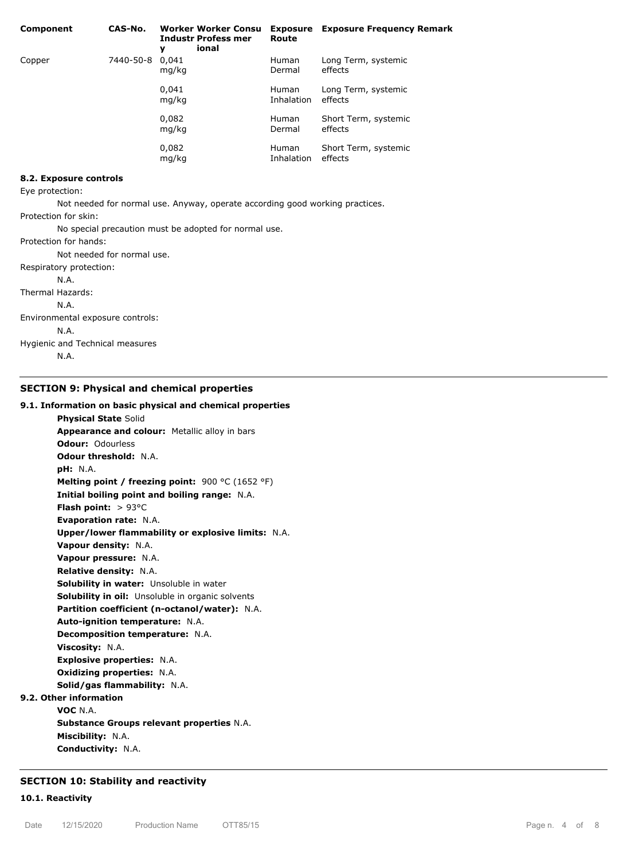| Component | CAS-No.   | <b>Worker Worker Consu</b><br><b>Industr Profess mer</b><br>ional<br>y | Route                      | <b>Exposure</b> Exposure Frequency Remark |
|-----------|-----------|------------------------------------------------------------------------|----------------------------|-------------------------------------------|
| Copper    | 7440-50-8 | 0.041<br>mg/kg                                                         | <b>Human</b><br>Dermal     | Long Term, systemic<br>effects            |
|           |           | 0.041<br>mg/kg                                                         | <b>Human</b><br>Inhalation | Long Term, systemic<br>effects            |
|           |           | 0,082<br>mg/kg                                                         | <b>Human</b><br>Dermal     | Short Term, systemic<br>effects           |
|           |           | 0,082<br>mg/kg                                                         | <b>Human</b><br>Inhalation | Short Term, systemic<br>effects           |

#### **8.2. Exposure controls**

Eye protection:

Not needed for normal use. Anyway, operate according good working practices.

Protection for skin:

No special precaution must be adopted for normal use.

Protection for hands:

Not needed for normal use.

Respiratory protection:

N.A.

Thermal Hazards:

N.A.

Environmental exposure controls:

N.A.

Hygienic and Technical measures

N.A.

#### **SECTION 9: Physical and chemical properties**

#### **9.1. Information on basic physical and chemical properties**

**Physical State** Solid **Appearance and colour:** Metallic alloy in bars **Odour:** Odourless **Odour threshold:** N.A. **pH:** N.A. **Melting point / freezing point:** 900 °C (1652 °F) **Initial boiling point and boiling range:** N.A. **Flash point:** > 93°C **Evaporation rate:** N.A. **Upper/lower flammability or explosive limits:** N.A. **Vapour density:** N.A. **Vapour pressure:** N.A. **Relative density:** N.A. **Solubility in water:** Unsoluble in water **Solubility in oil:** Unsoluble in organic solvents **Partition coefficient (n-octanol/water):** N.A. **Auto-ignition temperature:** N.A. **Decomposition temperature:** N.A. **Viscosity:** N.A. **Explosive properties:** N.A. **Oxidizing properties:** N.A. **Solid/gas flammability:** N.A. **9.2. Other information VOC** N.A. **Substance Groups relevant properties** N.A. **Miscibility:** N.A. **Conductivity:** N.A.

# **SECTION 10: Stability and reactivity**

## **10.1. Reactivity**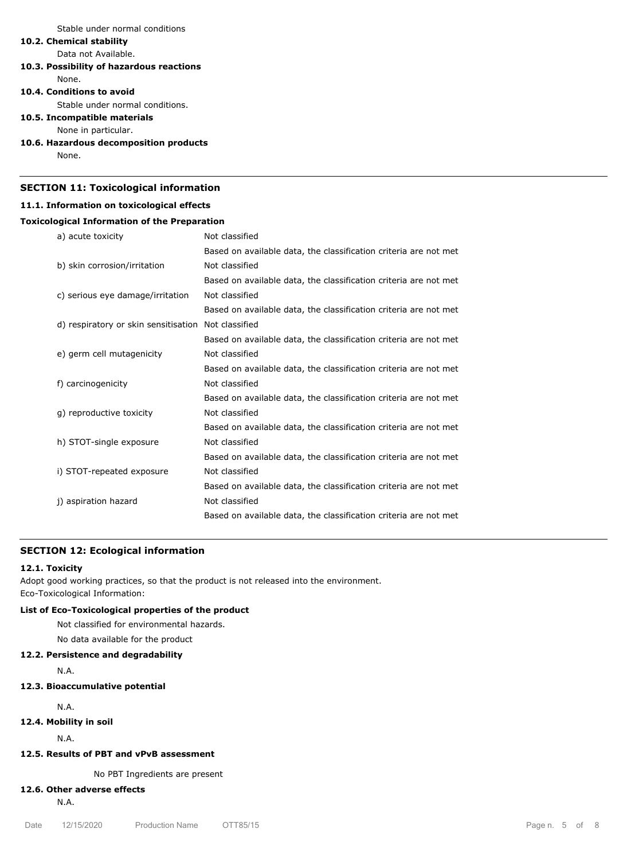Stable under normal conditions

# **10.2. Chemical stability**

Data not Available.

# **10.3. Possibility of hazardous reactions**

None.

## **10.4. Conditions to avoid**

Stable under normal conditions.

## **10.5. Incompatible materials**

None in particular.

## **10.6. Hazardous decomposition products**

None.

# **SECTION 11: Toxicological information**

# **11.1. Information on toxicological effects**

# **Toxicological Information of the Preparation**

| a) acute toxicity                    | Not classified                                                   |
|--------------------------------------|------------------------------------------------------------------|
|                                      | Based on available data, the classification criteria are not met |
| b) skin corrosion/irritation         | Not classified                                                   |
|                                      | Based on available data, the classification criteria are not met |
| c) serious eye damage/irritation     | Not classified                                                   |
|                                      | Based on available data, the classification criteria are not met |
| d) respiratory or skin sensitisation | Not classified                                                   |
|                                      | Based on available data, the classification criteria are not met |
| e) germ cell mutagenicity            | Not classified                                                   |
|                                      | Based on available data, the classification criteria are not met |
| f) carcinogenicity                   | Not classified                                                   |
|                                      | Based on available data, the classification criteria are not met |
| g) reproductive toxicity             | Not classified                                                   |
|                                      | Based on available data, the classification criteria are not met |
| h) STOT-single exposure              | Not classified                                                   |
|                                      | Based on available data, the classification criteria are not met |
| i) STOT-repeated exposure            | Not classified                                                   |
|                                      | Based on available data, the classification criteria are not met |
| j) aspiration hazard                 | Not classified                                                   |
|                                      | Based on available data, the classification criteria are not met |

## **SECTION 12: Ecological information**

#### **12.1. Toxicity**

Adopt good working practices, so that the product is not released into the environment. Eco-Toxicological Information:

# **List of Eco-Toxicological properties of the product**

Not classified for environmental hazards.

No data available for the product

# **12.2. Persistence and degradability**

N.A.

# **12.3. Bioaccumulative potential**

N.A.

**12.4. Mobility in soil**

N.A.

# **12.5. Results of PBT and vPvB assessment**

No PBT Ingredients are present

# **12.6. Other adverse effects**

N.A.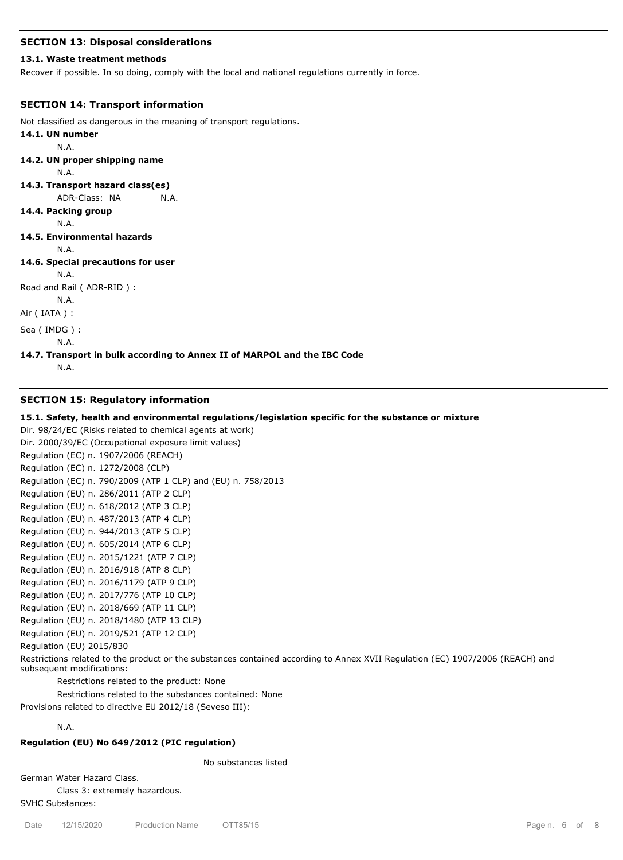#### **SECTION 13: Disposal considerations**

#### **13.1. Waste treatment methods**

Recover if possible. In so doing, comply with the local and national regulations currently in force.

#### **SECTION 14: Transport information**

```
Not classified as dangerous in the meaning of transport regulations.
14.1. UN number
        N.A.
14.2. UN proper shipping name
        N.A.
14.3. Transport hazard class(es)
        ADR-Class: NA N.A.
14.4. Packing group
        N.A.
14.5. Environmental hazards
        N.A.
14.6. Special precautions for user
        N.A.
Road and Rail ( ADR-RID ) :
        N.A.
Air ( IATA ) :
Sea ( IMDG ) :
        N.A.
14.7. Transport in bulk according to Annex II of MARPOL and the IBC Code
        N.A.
```
# **SECTION 15: Regulatory information**

#### **15.1. Safety, health and environmental regulations/legislation specific for the substance or mixture**

Dir. 98/24/EC (Risks related to chemical agents at work) Dir. 2000/39/EC (Occupational exposure limit values) Regulation (EC) n. 1907/2006 (REACH) Regulation (EC) n. 1272/2008 (CLP) Regulation (EC) n. 790/2009 (ATP 1 CLP) and (EU) n. 758/2013 Regulation (EU) n. 286/2011 (ATP 2 CLP) Regulation (EU) n. 618/2012 (ATP 3 CLP) Regulation (EU) n. 487/2013 (ATP 4 CLP) Regulation (EU) n. 944/2013 (ATP 5 CLP) Regulation (EU) n. 605/2014 (ATP 6 CLP) Regulation (EU) n. 2015/1221 (ATP 7 CLP) Regulation (EU) n. 2016/918 (ATP 8 CLP) Regulation (EU) n. 2016/1179 (ATP 9 CLP) Regulation (EU) n. 2017/776 (ATP 10 CLP) Regulation (EU) n. 2018/669 (ATP 11 CLP) Regulation (EU) n. 2018/1480 (ATP 13 CLP) Regulation (EU) n. 2019/521 (ATP 12 CLP) Regulation (EU) 2015/830 Restrictions related to the product or the substances contained according to Annex XVII Regulation (EC) 1907/2006 (REACH) and

Restrictions related to the product: None

Restrictions related to the substances contained: None

Provisions related to directive EU 2012/18 (Seveso III):

N.A.

subsequent modifications:

#### **Regulation (EU) No 649/2012 (PIC regulation)**

No substances listed

German Water Hazard Class.

Class 3: extremely hazardous.

SVHC Substances: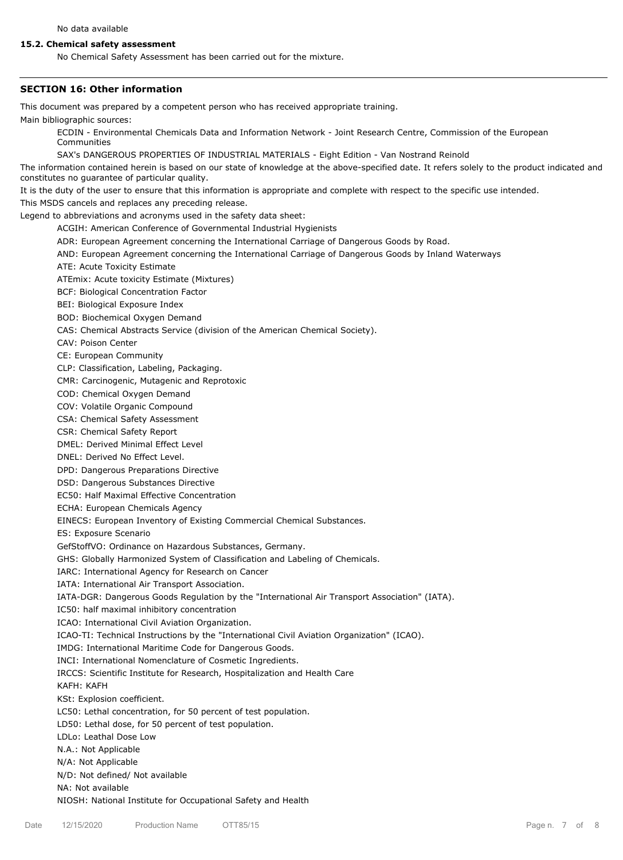## **15.2. Chemical safety assessment**

No Chemical Safety Assessment has been carried out for the mixture.

#### **SECTION 16: Other information**

This document was prepared by a competent person who has received appropriate training.

Main bibliographic sources:

ECDIN - Environmental Chemicals Data and Information Network - Joint Research Centre, Commission of the European Communities

SAX's DANGEROUS PROPERTIES OF INDUSTRIAL MATERIALS - Eight Edition - Van Nostrand Reinold

The information contained herein is based on our state of knowledge at the above-specified date. It refers solely to the product indicated and constitutes no guarantee of particular quality.

It is the duty of the user to ensure that this information is appropriate and complete with respect to the specific use intended.

This MSDS cancels and replaces any preceding release.

Legend to abbreviations and acronyms used in the safety data sheet:

ACGIH: American Conference of Governmental Industrial Hygienists

- ADR: European Agreement concerning the International Carriage of Dangerous Goods by Road.
- AND: European Agreement concerning the International Carriage of Dangerous Goods by Inland Waterways
- ATE: Acute Toxicity Estimate

ATEmix: Acute toxicity Estimate (Mixtures)

BCF: Biological Concentration Factor

BEI: Biological Exposure Index

BOD: Biochemical Oxygen Demand

CAS: Chemical Abstracts Service (division of the American Chemical Society).

CAV: Poison Center

CE: European Community

CLP: Classification, Labeling, Packaging.

CMR: Carcinogenic, Mutagenic and Reprotoxic

COD: Chemical Oxygen Demand

COV: Volatile Organic Compound

CSA: Chemical Safety Assessment

CSR: Chemical Safety Report

DMEL: Derived Minimal Effect Level

DNEL: Derived No Effect Level.

DPD: Dangerous Preparations Directive

DSD: Dangerous Substances Directive

EC50: Half Maximal Effective Concentration

ECHA: European Chemicals Agency

EINECS: European Inventory of Existing Commercial Chemical Substances.

ES: Exposure Scenario

GefStoffVO: Ordinance on Hazardous Substances, Germany.

GHS: Globally Harmonized System of Classification and Labeling of Chemicals.

IARC: International Agency for Research on Cancer

IATA: International Air Transport Association.

IATA-DGR: Dangerous Goods Regulation by the "International Air Transport Association" (IATA).

IC50: half maximal inhibitory concentration

ICAO: International Civil Aviation Organization.

ICAO-TI: Technical Instructions by the "International Civil Aviation Organization" (ICAO).

IMDG: International Maritime Code for Dangerous Goods.

INCI: International Nomenclature of Cosmetic Ingredients.

IRCCS: Scientific Institute for Research, Hospitalization and Health Care

KAFH: KAFH

KSt: Explosion coefficient.

LC50: Lethal concentration, for 50 percent of test population.

LD50: Lethal dose, for 50 percent of test population.

LDLo: Leathal Dose Low

N.A.: Not Applicable

N/A: Not Applicable

N/D: Not defined/ Not available

NA: Not available

NIOSH: National Institute for Occupational Safety and Health